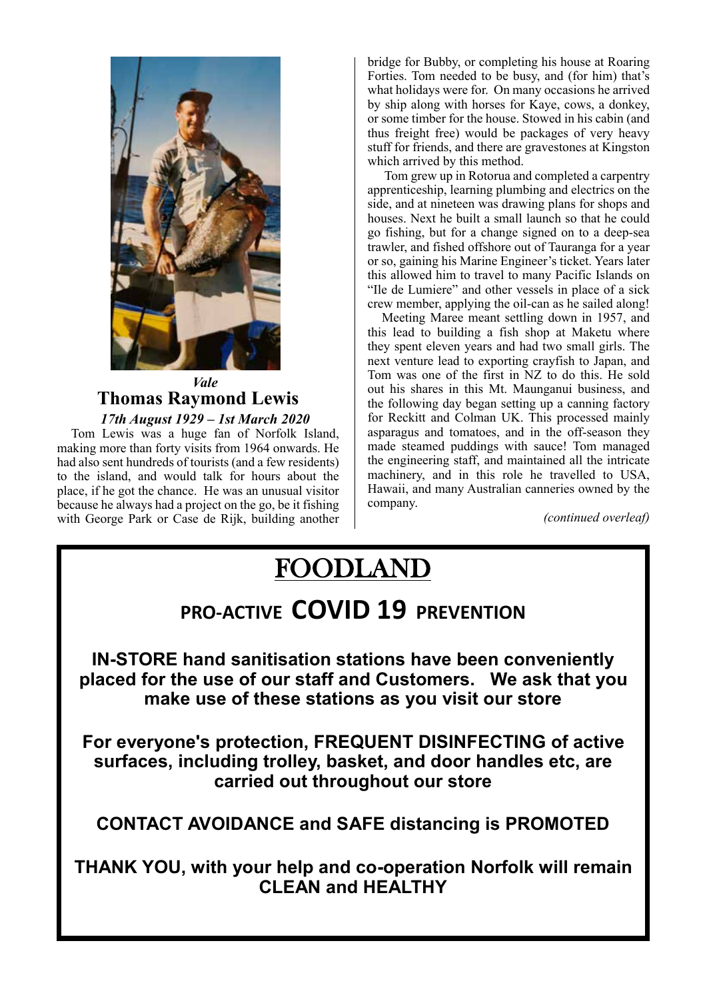

### *Vale* **Thomas Raymond Lewis**  *17th August 1929 – 1st March 2020*

Tom Lewis was a huge fan of Norfolk Island, making more than forty visits from 1964 onwards. He had also sent hundreds of tourists (and a few residents) to the island, and would talk for hours about the place, if he got the chance. He was an unusual visitor because he always had a project on the go, be it fishing with George Park or Case de Rijk, building another

by ship along with horses for Kaye, cows, a donkey,<br>or some timber for the house. Stowed in his cabin (and **The ALL of ALL of ALL of ALL of ALL ORDER** bridge for Bubby, or completing his house at Roaring Forties. Tom needed to be busy, and (for him) that's what holidays were for. On many occasions he arrived or some timber for the house. Stowed in his cabin (and thus freight free) would be packages of very heavy stuff for friends, and there are gravestones at Kingston

Ford Many businesses on Northolk and at nineteen was drawing plans for shops and side, and at nineteen was drawing plans for shops and **the arrival and under the arrival and under the soupe of the soupe of the soupe of the soupe of the soupe of the soupe of the soupe of the soupe of the soupe of the soupe of the soupe of the soupe of the soupe of the soup PLEASE REFRAINS FROM ASSESS** or so, gaining his Marine Engineer's ticket. Years later **Foodland staff will be de Lumiere"** and other vessels in place of a sick stock shelves as the sailed along!<br> **State Shelves as as as as he sailed along!**<br> **Crew member, applying the oil-can as he sailed along!**  Tom grew up in Rotorua and completed a carpentry apprenticeship, learning plumbing and electrics on the go fishing, but for a change signed on to a deep-sea trawler, and fished offshore out of Tauranga for a year this allowed him to travel to many Pacific Islands on

**ALL CUSTOMERS ARE ALL CUSTOMERS ARE ASSESSED TO A CUSTOMERS ARE ALL CUSTOMERS ARE ALL CUSTOMERS ARE ALL CUSTOMERS ARE ALL CUSTOMERS ARE ALL CUSTOMERS ARE ALL CUSTOMERS ARE ALL CUSTOMERS ARE ALL CUSTOMERS ARE ALL CUSTOMERS expansion in the applied of the state of the state of the state of the state of the state of the state of the state of the state of the state of the state of the state of the state of the state of the state of the state o Thomas Raymond Lewis** and the following day began setting up a canning factory The Thank You for the United States and United States and United States and Indian States and The United States and Indiana States and Indiana States and Indiana States and Indiana States and Indiana States and Indiana Sta Meeting Maree meant settling down in 1957, and they spent eleven years and had two small girls. The Tom was one of the first in NZ to do this. He sold out his shares in this Mt. Maunganui business, and for Reckitt and Colman UK. This processed mainly asparagus and tomatoes, and in the off-season they the engineering staff, and maintained all the intricate machinery, and in this role he travelled to USA, Hawaii, and many Australian canneries owned by the company.

*(continued overleaf)*

# FOODLAND

## **PRO-ACTIVE COVID 19 PREVENTION**

**IN-STORE hand sanitisation stations have been conveniently placed for the use of our staff and Customers. We ask that you make use of these stations as you visit our store**

**For everyone's protection, FREQUENT DISINFECTING of active surfaces, including trolley, basket, and door handles etc, are carried out throughout our store**

**CONTACT AVOIDANCE and SAFE distancing is PROMOTED**

**THANK YOU, with your help and co-operation Norfolk will remain CLEAN and HEALTHY**